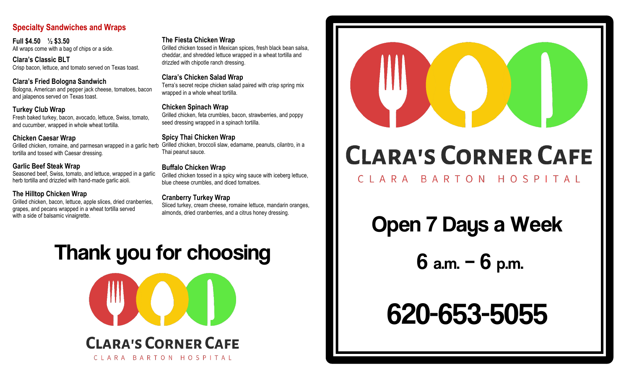## **Specialty Sandwiches and Wraps**

**Full \$4.50 ½ \$3.50** All wraps come with a bag of chips or a side.

**Clara's Classic BLT**  Crisp bacon, lettuce, and tomato served on Texas toast.

**Clara's Fried Bologna Sandwich**  Bologna, American and pepper jack cheese, tomatoes, bacon and jalapenos served on Texas toast.

#### **Turkey Club Wrap**

Fresh baked turkey, bacon, avocado, lettuce, Swiss, tomato, and cucumber, wrapped in whole wheat tortilla.

#### **Chicken Caesar Wrap**

Grilled chicken, romaine, and parmesan wrapped in a garlic herb Grilled chicken, broccoli slaw, edamame, peanuts, cilantro, in a tortilla and tossed with Caesar dressing.

#### **Garlic Beef Steak Wrap**

Seasoned beef, Swiss, tomato, and lettuce, wrapped in a garlic herb tortilla and drizzled with hand-made garlic aioli.

#### **The Hilltop Chicken Wrap**

Grilled chicken, bacon, lettuce, apple slices, dried cranberries, grapes, and pecans wrapped in a wheat tortilla served

#### **The Fiesta Chicken Wrap**

Grilled chicken tossed in Mexican spices, fresh black bean salsa, cheddar, and shredded lettuce wrapped in a wheat tortilla and drizzled with chipotle ranch dressing.

#### **Clara's Chicken Salad Wrap**

Terra's secret recipe chicken salad paired with crisp spring mix wrapped in a whole wheat tortilla.

#### **Chicken Spinach Wrap**

Grilled chicken, feta crumbles, bacon, strawberries, and poppy seed dressing wrapped in a spinach tortilla.

#### **Spicy Thai Chicken Wrap**

Thai peanut sauce.

#### **Buffalo Chicken Wrap**

Grilled chicken tossed in a spicy wing sauce with iceberg lettuce, blue cheese crumbles, and diced tomatoes.

#### **Cranberry Turkey Wrap**

Sliced turkey, cream cheese, romaine lettuce, mandarin oranges, almonds, dried cranberries, and a citrus honey dressing.

# Thank you for choosing



CLARA BARTON HOSPITAL



# **CLARA'S CORNER CAFE**

# CLARA BARTON HOSPITAL

Open 7 Days a Week

6 a.m. – 6 p.m.

# 620-653-5055